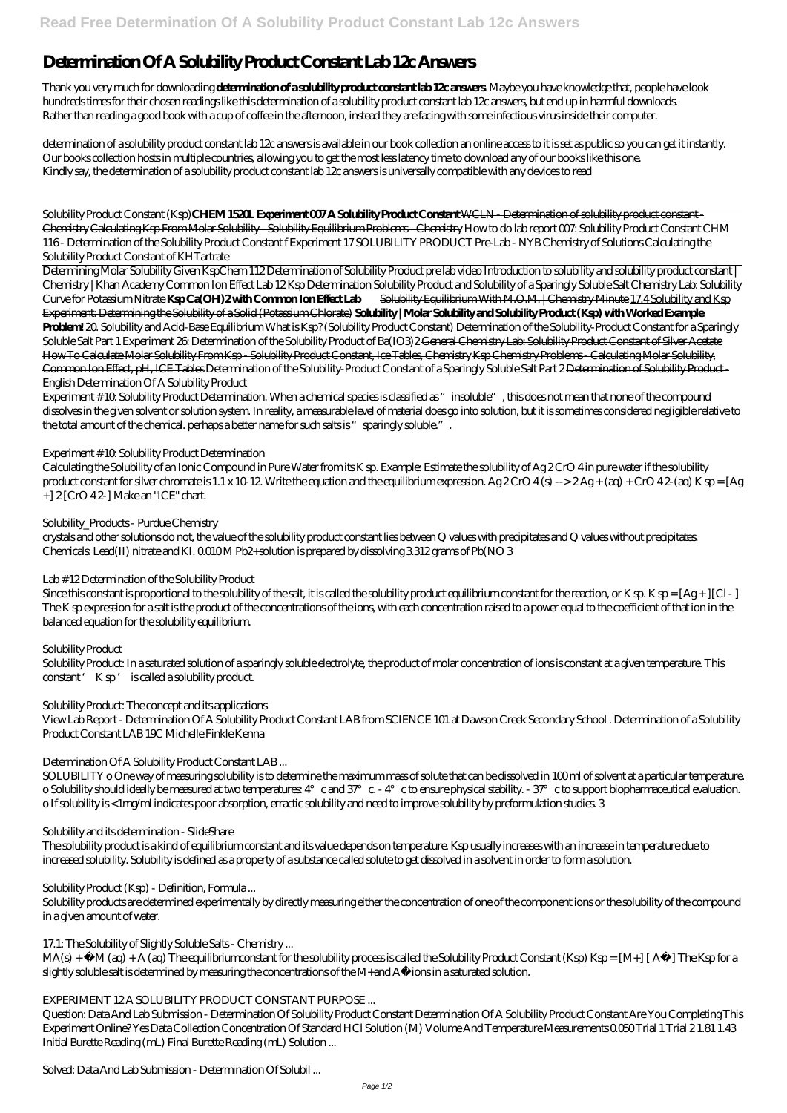# **Determination Of A Solubility Product Constant Lab 12c Answers**

Thank you very much for downloading **determination of a solubility product constant lab 12c answers**. Maybe you have knowledge that, people have look hundreds times for their chosen readings like this determination of a solubility product constant lab 12c answers, but end up in harmful downloads. Rather than reading a good book with a cup of coffee in the afternoon, instead they are facing with some infectious virus inside their computer.

determination of a solubility product constant lab 12c answers is available in our book collection an online access to it is set as public so you can get it instantly. Our books collection hosts in multiple countries, allowing you to get the most less latency time to download any of our books like this one. Kindly say, the determination of a solubility product constant lab 12c answers is universally compatible with any devices to read

Solubility Product Constant (Ksp)**CHEM 1520L Experiment 007 A Solubility Product Constant** WCLN - Determination of solubility product constant - Chemistry Calculating Ksp From Molar Solubility - Solubility Equilibrium Problems - Chemistry *How to do lab report 007: Solubility Product Constant CHM 116 - Determination of the Solubility Product Constant f* Experiment 17 SOLUBILITY PRODUCT Pre-Lab - NYB Chemistry of Solutions Calculating the Solubility Product Constant of KHTartrate

Experiment # 10: Solubility Product Determination. When a chemical species is classified as "insoluble", this does not mean that none of the compound dissolves in the given solvent or solution system. In reality, a measurable level of material does go into solution, but it is sometimes considered negligible relative to the total amount of the chemical. perhaps a better name for such salts is "sparingly soluble.".

Calculating the Solubility of an Ionic Compound in Pure Water from its K sp. Example: Estimate the solubility of Ag 2 CrO 4 in pure water if the solubility product constant for silver chromate is 1.1 x 10-12. Write the equation and the equilibrium expression. Ag  $2CrO 4(s)$  -->  $2Ag + (aq) + CrO 42$  (aq) K sp = [Ag  $+$ ] 2 [CrO 42-] Make an "ICE" chart.

Determining Molar Solubility Given KspChem 112 Determination of Solubility Product pre lab video *Introduction to solubility and solubility product constant | Chemistry | Khan Academy Common Ion Effect* Lab 12 Ksp Determination *Solubility Product and Solubility of a Sparingly Soluble Salt* Chemistry Lab: Solubility Curve for Potassium Nitrate **Ksp Ca(OH) 2 with Common Ion Effect Lab** Solubility Equilibrium With M.O.M. | Chemistry Minute 17.4 Solubility and Ksp Experiment: Determining the Solubility of a Solid (Potassium Chlorate) **Solubility | Molar Solubility and Solubility Product (Ksp) with Worked Example Problem!** *20. Solubility and Acid-Base Equilibrium* What is Ksp? (Solubility Product Constant) Determination of the Solubility-Product Constant for a Sparingly Soluble Salt Part 1 *Experiment 26: Determination of the Solubility Product of Ba(IO3)* 2<del>General Chemistry Lab: Solubility Product Constant of Silver Acetate</del> How To Calculate Molar Solubility From Ksp - Solubility Product Constant, Ice Tables, Chemistry Ksp Chemistry Problems - Calculating Molar Solubility, Common Ion Effect, pH, ICE Tables Determination of the Solubility-Product Constant of a Sparingly Soluble Salt Part 2 Determination of Solubility Product - English *Determination Of A Solubility Product*

Since this constant is proportional to the solubility of the salt, it is called the solubility product equilibrium constant for the reaction, or K sp. K sp =  $[Ag + |[C] - ]$ The K sp expression for a salt is the product of the concentrations of the ions, with each concentration raised to a power equal to the coefficient of that ion in the balanced equation for the solubility equilibrium.

SOLUBILITY o One way of measuring solubility is to determine the maximum mass of solute that can be dissolved in 100 ml of solvent at a particular temperature. o Solubility should ideally be measured at two temperatures:  $4^{\circ}$  c and  $37^{\circ}$  c. -  $4^{\circ}$  c to ensure physical stability. -  $37^{\circ}$  c to support biopharmaceutical evaluation. o If solubility is <1mg/ml indicates poor absorption, erractic solubility and need to improve solubility by preformulation studies. 3

 $MA(s)$  + – M (aq) + A (aq) The equilibrium constant for the solubility process is called the Solubility Product Constant (Ksp) Ksp =  $[M+] [A-] The Ksp$  for a slightly soluble salt is determined by measuring the concentrations of the M+and A−ions in a saturated solution.

# *Experiment # 10: Solubility Product Determination*

# *Solubility\_Products - Purdue Chemistry*

crystals and other solutions do not, the value of the solubility product constant lies between Q values with precipitates and Q values without precipitates. Chemicals: Lead(II) nitrate and KI. 0.010 M Pb2+solution is prepared by dissolving 3.312 grams of Pb(NO 3

# *Lab # 12 Determination of the Solubility Product*

# *Solubility Product*

Solubility Product: In a saturated solution of a sparingly soluble electrolyte, the product of molar concentration of ions is constant at a given temperature. This constant ' K sp ' is called a solubility product.

## *Solubility Product: The concept and its applications*

View Lab Report - Determination Of A Solubility Product Constant LAB from SCIENCE 101 at Dawson Creek Secondary School . Determination of a Solubility Product Constant LAB 19C Michelle Finkle Kenna

# *Determination Of A Solubility Product Constant LAB ...*

## *Solubility and its determination - SlideShare*

The solubility product is a kind of equilibrium constant and its value depends on temperature. Ksp usually increases with an increase in temperature due to increased solubility. Solubility is defined as a property of a substance called solute to get dissolved in a solvent in order to form a solution.

*Solubility Product (Ksp) - Definition, Formula ...*

Solubility products are determined experimentally by directly measuring either the concentration of one of the component ions or the solubility of the compound in a given amount of water.

*17.1: The Solubility of Slightly Soluble Salts - Chemistry ...*

## *EXPERIMENT 12 A SOLUBILITY PRODUCT CONSTANT PURPOSE ...*

Question: Data And Lab Submission - Determination Of Solubility Product Constant Determination Of A Solubility Product Constant Are You Completing This Experiment Online? Yes Data Collection Concentration Of Standard HCl Solution (M) Volume And Temperature Measurements 0.050 Trial 1 Trial 2 1.81 1.43 Initial Burette Reading (mL) Final Burette Reading (mL) Solution ...

*Solved: Data And Lab Submission - Determination Of Solubil ...*